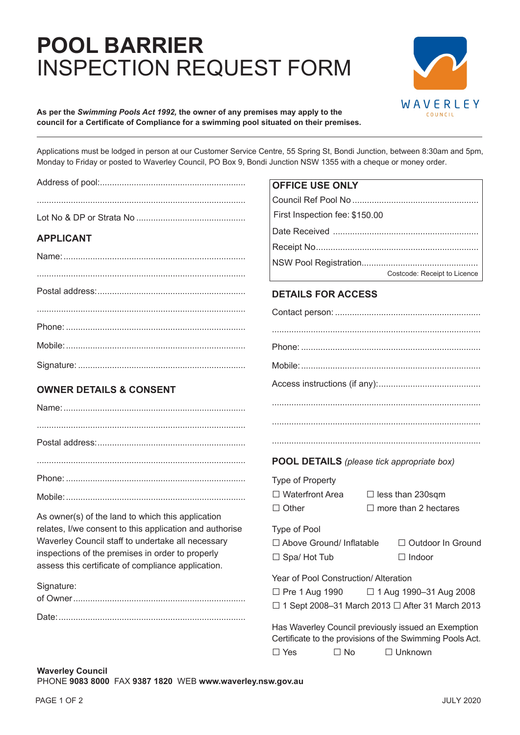## **POOL BARRIER**  INSPECTION REQUEST FORM



## **As per the** *Swimming Pools Act 1992,* **the owner of any premises may apply to the council for a Certificate of Compliance for a swimming pool situated on their premises.**

Applications must be lodged in person at our Customer Service Centre, 55 Spring St, Bondi Junction, between 8:30am and 5pm, Monday to Friday or posted to Waverley Council, PO Box 9, Bondi Junction NSW 1355 with a cheque or money order.

|                                                         | <b>OFFICE USE ONLY</b>                                                                                                                                       |
|---------------------------------------------------------|--------------------------------------------------------------------------------------------------------------------------------------------------------------|
|                                                         |                                                                                                                                                              |
|                                                         | First Inspection fee: \$150.00                                                                                                                               |
|                                                         |                                                                                                                                                              |
| <b>APPLICANT</b>                                        |                                                                                                                                                              |
|                                                         | Costcode: Receipt to Licence                                                                                                                                 |
|                                                         | <b>DETAILS FOR ACCESS</b>                                                                                                                                    |
|                                                         |                                                                                                                                                              |
|                                                         |                                                                                                                                                              |
|                                                         |                                                                                                                                                              |
|                                                         |                                                                                                                                                              |
| <b>OWNER DETAILS &amp; CONSENT</b>                      |                                                                                                                                                              |
|                                                         |                                                                                                                                                              |
|                                                         |                                                                                                                                                              |
|                                                         |                                                                                                                                                              |
|                                                         | <b>POOL DETAILS</b> (please tick appropriate box)                                                                                                            |
|                                                         | Type of Property                                                                                                                                             |
|                                                         | $\Box$ Waterfront Area<br>$\Box$ less than 230sqm                                                                                                            |
| As owner(s) of the land to which this application       | $\Box$ more than 2 hectares<br>$\Box$ Other                                                                                                                  |
| relates, I/we consent to this application and authorise | Type of Pool                                                                                                                                                 |
| Waverley Council staff to undertake all necessary       | □ Above Ground/ Inflatable<br>□ Outdoor In Ground                                                                                                            |
| inspections of the premises in order to properly        | $\Box$ Spa/Hot Tub<br>$\Box$ Indoor                                                                                                                          |
| assess this certificate of compliance application.      |                                                                                                                                                              |
| Signature:                                              | Year of Pool Construction/ Alteration                                                                                                                        |
|                                                         | □ Pre 1 Aug 1990<br>$\Box$ 1 Aug 1990-31 Aug 2008                                                                                                            |
|                                                         | $\Box$ 1 Sept 2008-31 March 2013 $\Box$ After 31 March 2013                                                                                                  |
|                                                         | Has Waverley Council previously issued an Exemption<br>Certificate to the provisions of the Swimming Pools Act.<br>$\Box$ No<br>$\Box$ Unknown<br>$\Box$ Yes |